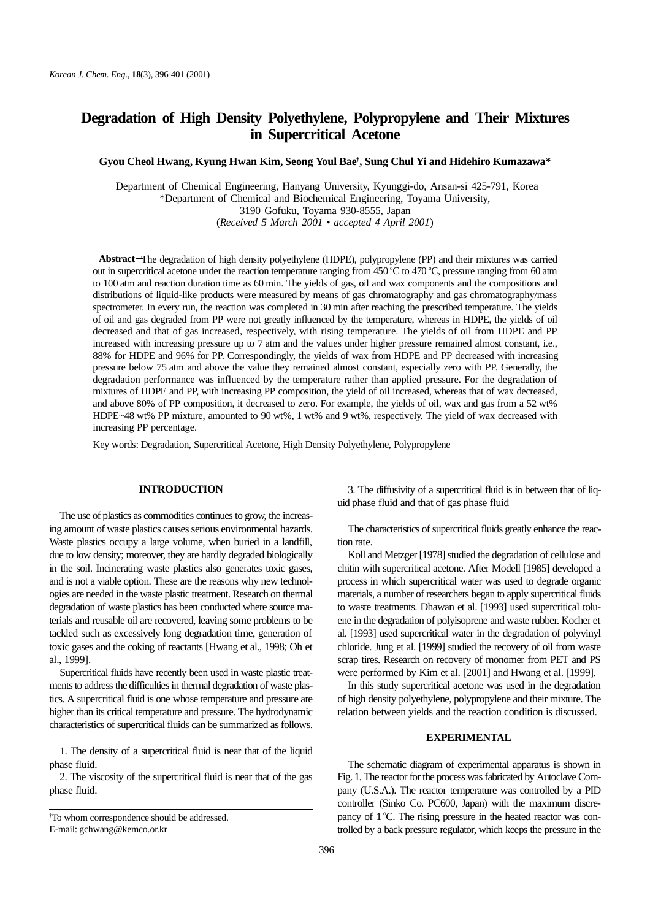# **Degradation of High Density Polyethylene, Polypropylene and Their Mixtures in Supercritical Acetone**

**Gyou Cheol Hwang, Kyung Hwan Kim, Seong Youl Bae† , Sung Chul Yi and Hidehiro Kumazawa\***

 Department of Chemical Engineering, Hanyang University, Kyunggi-do, Ansan-si 425-791, Korea \*Department of Chemical and Biochemical Engineering, Toyama University, 3190 Gofuku, Toyama 930-8555, Japan (*Received 5 March 2001 • accepted 4 April 2001*)

**Abstract**−The degradation of high density polyethylene (HDPE), polypropylene (PP) and their mixtures was carried out in supercritical acetone under the reaction temperature ranging from 450 °C to 470 °C, pressure ranging from 60 atm to 100 atm and reaction duration time as 60 min. The yields of gas, oil and wax components and the compositions and distributions of liquid-like products were measured by means of gas chromatography and gas chromatography/mass spectrometer. In every run, the reaction was completed in 30 min after reaching the prescribed temperature. The yields of oil and gas degraded from PP were not greatly influenced by the temperature, whereas in HDPE, the yields of oil decreased and that of gas increased, respectively, with rising temperature. The yields of oil from HDPE and PP increased with increasing pressure up to 7 atm and the values under higher pressure remained almost constant, i.e., 88% for HDPE and 96% for PP. Correspondingly, the yields of wax from HDPE and PP decreased with increasing pressure below 75 atm and above the value they remained almost constant, especially zero with PP. Generally, the degradation performance was influenced by the temperature rather than applied pressure. For the degradation of mixtures of HDPE and PP, with increasing PP composition, the yield of oil increased, whereas that of wax decreased, and above 80% of PP composition, it decreased to zero. For example, the yields of oil, wax and gas from a 52 wt% HDPE~48 wt% PP mixture, amounted to 90 wt%, 1 wt% and 9 wt%, respectively. The yield of wax decreased with increasing PP percentage.

Key words: Degradation, Supercritical Acetone, High Density Polyethylene, Polypropylene

### **INTRODUCTION**

The use of plastics as commodities continues to grow, the increasing amount of waste plastics causes serious environmental hazards. Waste plastics occupy a large volume, when buried in a landfill, due to low density; moreover, they are hardly degraded biologically in the soil. Incinerating waste plastics also generates toxic gases, and is not a viable option. These are the reasons why new technologies are needed in the waste plastic treatment. Research on thermal degradation of waste plastics has been conducted where source materials and reusable oil are recovered, leaving some problems to be tackled such as excessively long degradation time, generation of toxic gases and the coking of reactants [Hwang et al., 1998; Oh et al., 1999].

Supercritical fluids have recently been used in waste plastic treatments to address the difficulties in thermal degradation of waste plastics. A supercritical fluid is one whose temperature and pressure are higher than its critical temperature and pressure. The hydrodynamic characteristics of supercritical fluids can be summarized as follows.

1. The density of a supercritical fluid is near that of the liquid phase fluid.

2. The viscosity of the supercritical fluid is near that of the gas phase fluid.

3. The diffusivity of a supercritical fluid is in between that of liquid phase fluid and that of gas phase fluid

The characteristics of supercritical fluids greatly enhance the reaction rate.

Koll and Metzger [1978] studied the degradation of cellulose and chitin with supercritical acetone. After Modell [1985] developed a process in which supercritical water was used to degrade organic materials, a number of researchers began to apply supercritical fluids to waste treatments. Dhawan et al. [1993] used supercritical toluene in the degradation of polyisoprene and waste rubber. Kocher et al. [1993] used supercritical water in the degradation of polyvinyl chloride. Jung et al. [1999] studied the recovery of oil from waste scrap tires. Research on recovery of monomer from PET and PS were performed by Kim et al. [2001] and Hwang et al. [1999].

In this study supercritical acetone was used in the degradation of high density polyethylene, polypropylene and their mixture. The relation between yields and the reaction condition is discussed.

#### **EXPERIMENTAL**

The schematic diagram of experimental apparatus is shown in Fig. 1. The reactor for the process was fabricated by Autoclave Company (U.S.A.). The reactor temperature was controlled by a PID controller (Sinko Co. PC600, Japan) with the maximum discrepancy of 1 °C. The rising pressure in the heated reactor was controlled by a back pressure regulator, which keeps the pressure in the

<sup>†</sup> To whom correspondence should be addressed.

E-mail: gchwang@kemco.or.kr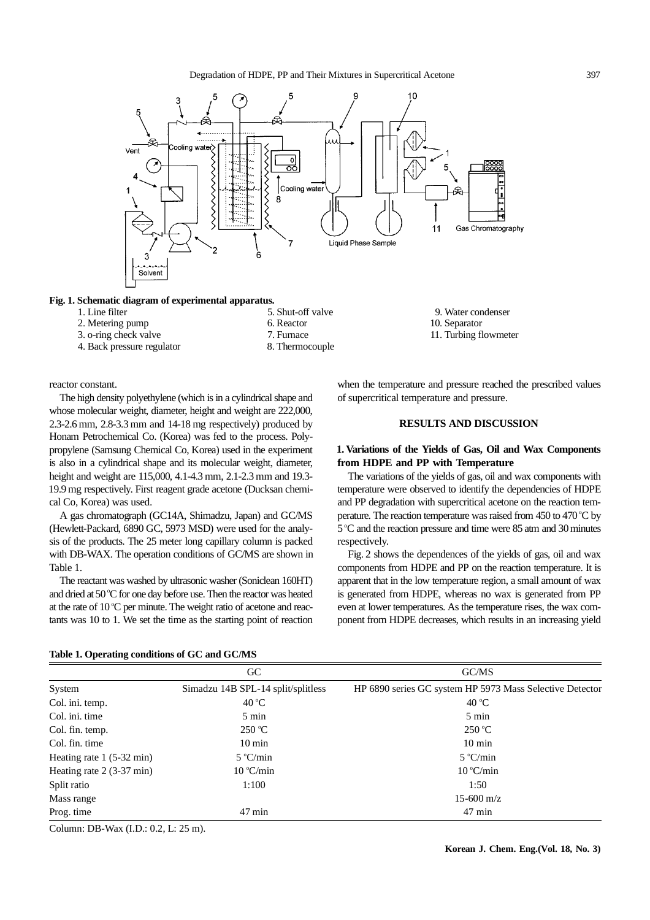

**Fig. 1. Schematic diagram of experimental apparatus.**

- -
- 
- 4. Back pressure regulator 8. Thermocouple
- 2. Metering pump 6. Reactor 10. Separator 2. Metering pump 6. Reactor 2. Metering pump 10. Separator 2.  $\frac{1}{2}$
- 1. Line filter 5. Shut-off valve 9. Water condenser
- 3. o-ring check valve 7. Furnace 11. Turbing flowmeter

reactor constant.

The high density polyethylene (which is in a cylindrical shape and whose molecular weight, diameter, height and weight are 222,000, 2.3-2.6 mm, 2.8-3.3 mm and 14-18 mg respectively) produced by Honam Petrochemical Co. (Korea) was fed to the process. Polypropylene (Samsung Chemical Co, Korea) used in the experiment is also in a cylindrical shape and its molecular weight, diameter, height and weight are 115,000, 4.1-4.3 mm, 2.1-2.3 mm and 19.3- 19.9 mg respectively. First reagent grade acetone (Ducksan chemical Co, Korea) was used.

A gas chromatograph (GC14A, Shimadzu, Japan) and GC/MS (Hewlett-Packard, 6890 GC, 5973 MSD) were used for the analysis of the products. The 25 meter long capillary column is packed with DB-WAX. The operation conditions of GC/MS are shown in Table 1.

The reactant was washed by ultrasonic washer (Soniclean 160HT) and dried at 50 °C for one day before use. Then the reactor was heated at the rate of  $10^{\circ}$ C per minute. The weight ratio of acetone and reactants was 10 to 1. We set the time as the starting point of reaction when the temperature and pressure reached the prescribed values of supercritical temperature and pressure.

# **RESULTS AND DISCUSSION**

# **1. Variations of the Yields of Gas, Oil and Wax Components from HDPE and PP with Temperature**

The variations of the yields of gas, oil and wax components with temperature were observed to identify the dependencies of HDPE and PP degradation with supercritical acetone on the reaction temperature. The reaction temperature was raised from 450 to 470 °C by 5 °C and the reaction pressure and time were 85 atm and 30 minutes respectively.

Fig. 2 shows the dependences of the yields of gas, oil and wax components from HDPE and PP on the reaction temperature. It is apparent that in the low temperature region, a small amount of wax is generated from HDPE, whereas no wax is generated from PP even at lower temperatures. As the temperature rises, the wax component from HDPE decreases, which results in an increasing yield

|                                    | GC                                 | GC/MS                                                    |
|------------------------------------|------------------------------------|----------------------------------------------------------|
| System                             | Simadzu 14B SPL-14 split/splitless | HP 6890 series GC system HP 5973 Mass Selective Detector |
| Col. ini. temp.                    | 40 °C                              | 40 °C                                                    |
| Col. ini. time                     | $5 \text{ min}$                    | $5 \text{ min}$                                          |
| Col. fin. temp.                    | $250^{\circ}$ C                    | $250^{\circ}$ C                                          |
| Col. fin. time                     | $10 \text{ min}$                   | $10 \text{ min}$                                         |
| Heating rate $1(5-32 \text{ min})$ | $5^{\circ}$ C/min                  | $5^{\circ}$ C/min                                        |
| Heating rate $2(3-37 \text{ min})$ | 10 °C/min                          | $10^{\circ}$ C/min                                       |
| Split ratio                        | 1:100                              | 1:50                                                     |
| Mass range                         |                                    | $15-600 \text{ m/z}$                                     |
| Prog. time                         | $47 \text{ min}$                   | $47 \text{ min}$                                         |

#### **Table 1. Operating conditions of GC and GC/MS**

Column: DB-Wax (I.D.: 0.2, L: 25 m).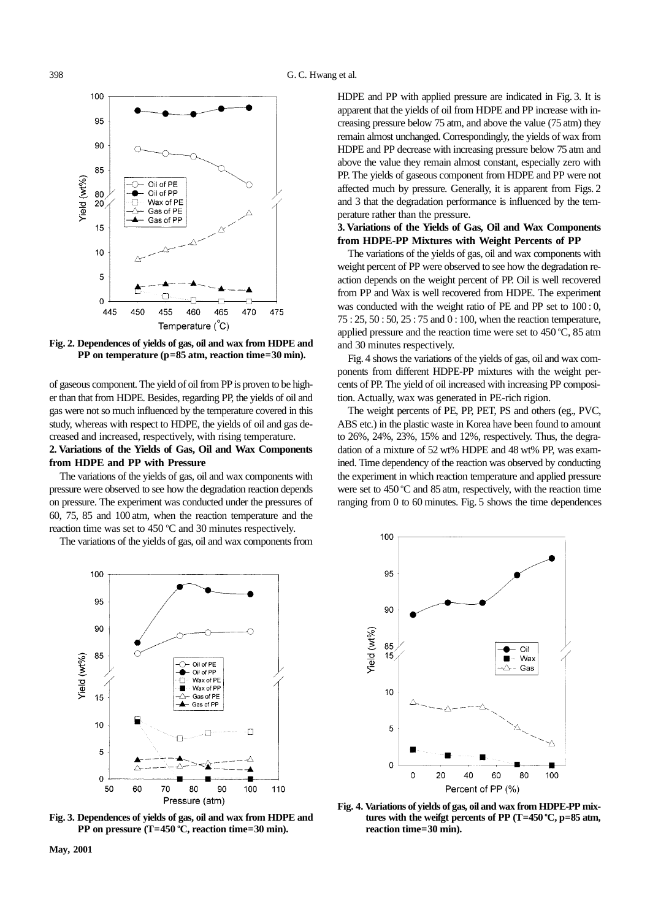

**Fig. 2. Dependences of yields of gas, oil and wax from HDPE and PP on temperature (p=85 atm, reaction time=30 min).**

of gaseous component. The yield of oil from PP is proven to be higher than that from HDPE. Besides, regarding PP, the yields of oil and gas were not so much influenced by the temperature covered in this study, whereas with respect to HDPE, the yields of oil and gas decreased and increased, respectively, with rising temperature.

# **2. Variations of the Yields of Gas, Oil and Wax Components from HDPE and PP with Pressure**

The variations of the yields of gas, oil and wax components with pressure were observed to see how the degradation reaction depends on pressure. The experiment was conducted under the pressures of 60, 75, 85 and 100 atm, when the reaction temperature and the reaction time was set to  $450^{\circ}$ C and 30 minutes respectively.

The variations of the yields of gas, oil and wax components from

HDPE and PP with applied pressure are indicated in Fig. 3. It is apparent that the yields of oil from HDPE and PP increase with increasing pressure below 75 atm, and above the value (75 atm) they remain almost unchanged. Correspondingly, the yields of wax from HDPE and PP decrease with increasing pressure below 75 atm and above the value they remain almost constant, especially zero with PP. The yields of gaseous component from HDPE and PP were not affected much by pressure. Generally, it is apparent from Figs. 2 and 3 that the degradation performance is influenced by the temperature rather than the pressure.

# **3. Variations of the Yields of Gas, Oil and Wax Components from HDPE-PP Mixtures with Weight Percents of PP**

The variations of the yields of gas, oil and wax components with weight percent of PP were observed to see how the degradation reaction depends on the weight percent of PP. Oil is well recovered from PP and Wax is well recovered from HDPE. The experiment was conducted with the weight ratio of PE and PP set to 100 : 0, 75 : 25, 50 : 50, 25 : 75 and 0 : 100, when the reaction temperature, applied pressure and the reaction time were set to  $450^{\circ}$ C,  $85$  atm and 30 minutes respectively.

Fig. 4 shows the variations of the yields of gas, oil and wax components from different HDPE-PP mixtures with the weight percents of PP. The yield of oil increased with increasing PP composition. Actually, wax was generated in PE-rich rigion.

The weight percents of PE, PP, PET, PS and others (eg., PVC, ABS etc.) in the plastic waste in Korea have been found to amount to 26%, 24%, 23%, 15% and 12%, respectively. Thus, the degradation of a mixture of 52 wt% HDPE and 48 wt% PP, was examined. Time dependency of the reaction was observed by conducting the experiment in which reaction temperature and applied pressure were set to 450 °C and 85 atm, respectively, with the reaction time ranging from 0 to 60 minutes. Fig. 5 shows the time dependences



**Fig. 3. Dependences of yields of gas, oil and wax from HDPE and** PP on pressure (T=450 °C, reaction time=30 min).



**Fig. 4. Variations of yields of gas, oil and wax from HDPE-PP mixtures with the weifgt percents of PP (T=450 <sup>o</sup> C, p=85 atm, reaction time=30 min).**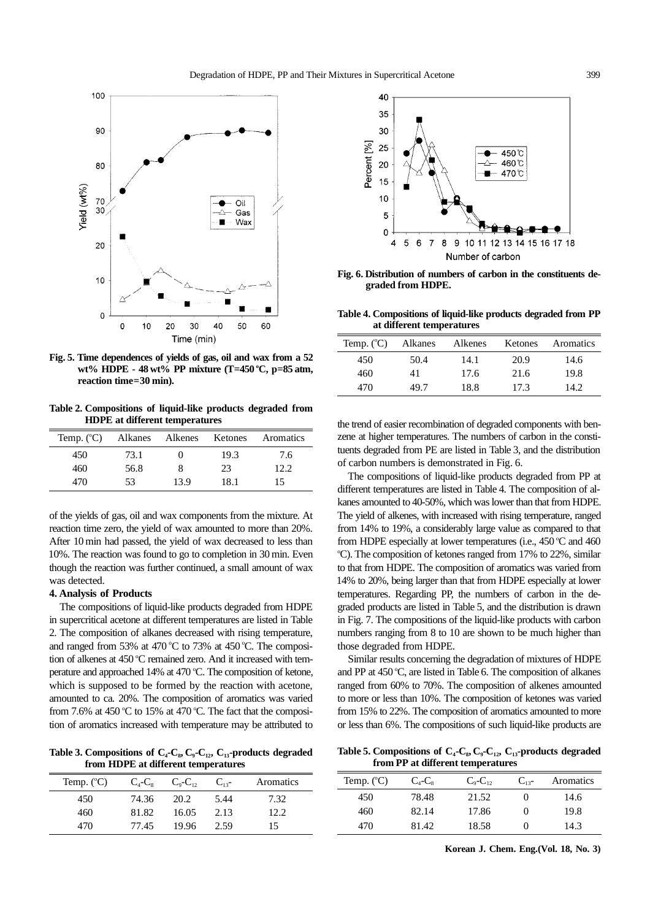

**Fig. 5. Time dependences of yields of gas, oil and wax from a 52 wt% HDPE - 48 wt% PP mixture (T=450 <sup>o</sup> C, p=85 atm, reaction time=30 min).**

**Table 2. Compositions of liquid-like products degraded from HDPE at different temperatures**

| Temp. $(^{\circ}C)$ | Alkanes Alkenes |      | Ketones | Aromatics |
|---------------------|-----------------|------|---------|-----------|
| 450                 | 73.1            |      | 19.3    | 7.6       |
| 460                 | 56.8            | 8    | 23      | 12.2.     |
| 470                 | 53              | 13.9 | 18.1    | 15        |

of the yields of gas, oil and wax components from the mixture. At reaction time zero, the yield of wax amounted to more than 20%. After 10 min had passed, the yield of wax decreased to less than 10%. The reaction was found to go to completion in 30 min. Even though the reaction was further continued, a small amount of wax was detected.

#### **4. Analysis of Products**

The compositions of liquid-like products degraded from HDPE in supercritical acetone at different temperatures are listed in Table 2. The composition of alkanes decreased with rising temperature, and ranged from 53% at 470 °C to 73% at 450 °C. The composition of alkenes at 450 °C remained zero. And it increased with temperature and approached 14% at 470 °C. The composition of ketone, which is supposed to be formed by the reaction with acetone, amounted to ca. 20%. The composition of aromatics was varied from 7.6% at 450 °C to 15% at 470 °C. The fact that the composition of aromatics increased with temperature may be attributed to

Table 3. Compositions of  $C_4$ - $C_8$ ,  $C_9$ - $C_{12}$ ,  $C_{13}$ -products degraded **from HDPE at different temperatures**

| Temp. $(^{\circ}C)$ | $C_{\scriptscriptstyle{A}}$ - $C_{\scriptscriptstyle{S}}$ | $C_{\rm o}$ - $C_{\rm o}$ | $C_{13}$ - | Aromatics |
|---------------------|-----------------------------------------------------------|---------------------------|------------|-----------|
| 450                 | 74.36                                                     | 20.2                      | 5.44       | 7.32      |
| 460                 | 81.82                                                     | 16.05                     | 2.13       | 12.2.     |
| 470                 | 77.45                                                     | 19.96                     | 2.59       | 15        |



**Fig. 6. Distribution of numbers of carbon in the constituents degraded from HDPE.**

**Table 4. Compositions of liquid-like products degraded from PP at different temperatures**

| Temp. $({}^{\circ}C)$ | Alkanes | Alkenes | Ketones | Aromatics |
|-----------------------|---------|---------|---------|-----------|
| 450                   | 50.4    | 14.1    | 20.9    | 14.6      |
| 460                   | 41      | 17.6    | 21.6    | 19.8      |
| 470                   | 49.7    | 18.8    | 17.3    | 14.2.     |

the trend of easier recombination of degraded components with benzene at higher temperatures. The numbers of carbon in the constituents degraded from PE are listed in Table 3, and the distribution of carbon numbers is demonstrated in Fig. 6.

The compositions of liquid-like products degraded from PP at different temperatures are listed in Table 4. The composition of alkanes amounted to 40-50%, which was lower than that from HDPE. The yield of alkenes, with increased with rising temperature, ranged from 14% to 19%, a considerably large value as compared to that from HDPE especially at lower temperatures (i.e.,  $450^{\circ}$ C and  $460$ <sup>o</sup>C). The composition of ketones ranged from 17% to 22%, similar to that from HDPE. The composition of aromatics was varied from 14% to 20%, being larger than that from HDPE especially at lower temperatures. Regarding PP, the numbers of carbon in the degraded products are listed in Table 5, and the distribution is drawn in Fig. 7. The compositions of the liquid-like products with carbon numbers ranging from 8 to 10 are shown to be much higher than those degraded from HDPE.

Similar results concerning the degradation of mixtures of HDPE and PP at 450 °C, are listed in Table 6. The composition of alkanes ranged from 60% to 70%. The composition of alkenes amounted to more or less than 10%. The composition of ketones was varied from 15% to 22%. The composition of aromatics amounted to more or less than 6%. The compositions of such liquid-like products are

Table 5. Compositions of C<sub>4</sub>-C<sub>8</sub>, C<sub>9</sub>-C<sub>12</sub>, C<sub>13</sub>-products degraded **from PP at different temperatures**

| Temp. $(^{\circ}C)$ | $C_4$ - $C_8$ | $C_9$ - $C_{12}$ | $C_{13}$ - | Aromatics |
|---------------------|---------------|------------------|------------|-----------|
| 450                 | 78.48         | 21.52            |            | 14.6      |
| 460                 | 82.14         | 17.86            |            | 19.8      |
| 470                 | 81.42         | 18.58            |            | 14.3      |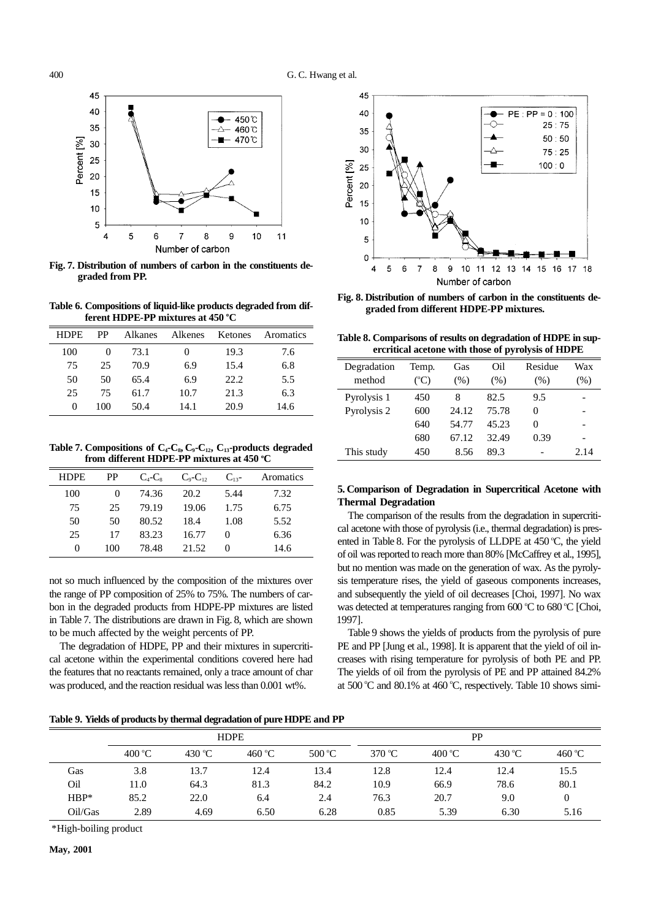

**Fig. 7. Distribution of numbers of carbon in the constituents degraded from PP.**

**Table 6. Compositions of liquid-like products degraded from dif**ferent HDPE-PP mixtures at 450 °C

| <b>HDPE</b> | <b>PP</b> | Alkanes | Alkenes | Ketones | Aromatics |
|-------------|-----------|---------|---------|---------|-----------|
| 100         |           | 73.1    |         | 19.3    | 7.6       |
| 75          | 25        | 70.9    | 6.9     | 15.4    | 6.8       |
| 50          | 50        | 65.4    | 6.9     | 22.2    | 5.5       |
| 25          | 75        | 61.7    | 10.7    | 21.3    | 6.3       |
| $\Omega$    | 100       | 50.4    | 14.1    | 20.9    | 14.6      |

Table 7. Compositions of  $C_4$ - $C_8$ ,  $C_9$ - $C_{12}$ ,  $C_{13}$ -products degraded from different HDPE-PP mixtures at 450 °C

| <b>HDPE</b> | PP  | $C_4-C_8$ | $C_9$ - $C_1$ | $C_{13}$ - | Aromatics |
|-------------|-----|-----------|---------------|------------|-----------|
| 100         |     | 74.36     | 20.2          | 5.44       | 7.32      |
| 75          | 25  | 79.19     | 19.06         | 1.75       | 6.75      |
| 50          | 50  | 80.52     | 18.4          | 1.08       | 5.52      |
| 25          | 17  | 83.23     | 16.77         | $\Omega$   | 6.36      |
| $\Omega$    | 100 | 78.48     | 21.52         | $\theta$   | 14.6      |

not so much influenced by the composition of the mixtures over the range of PP composition of 25% to 75%. The numbers of carbon in the degraded products from HDPE-PP mixtures are listed in Table 7. The distributions are drawn in Fig. 8, which are shown to be much affected by the weight percents of PP.

The degradation of HDPE, PP and their mixtures in supercritical acetone within the experimental conditions covered here had the features that no reactants remained, only a trace amount of char was produced, and the reaction residual was less than 0.001 wt%.



**Fig. 8. Distribution of numbers of carbon in the constituents degraded from different HDPE-PP mixtures.**

**Table 8. Comparisons of results on degradation of HDPE in supercritical acetone with those of pyrolysis of HDPE**

| Degradation<br>method | Temp.<br>$({}^{\circ}C)$ | Gas<br>(% ) | Oil<br>(% ) | Residue<br>(% ) | Wax<br>(% ) |
|-----------------------|--------------------------|-------------|-------------|-----------------|-------------|
| Pyrolysis 1           | 450                      | 8           | 82.5        | 9.5             |             |
| Pyrolysis 2           | 600                      | 24.12       | 75.78       | 0               |             |
|                       | 640                      | 54.77       | 45.23       | $\theta$        |             |
|                       | 680                      | 67.12       | 32.49       | 0.39            |             |
| This study            | 450                      | 8.56        | 89.3        |                 | 2.14        |

### **5. Comparison of Degradation in Supercritical Acetone with Thermal Degradation**

The comparison of the results from the degradation in supercritical acetone with those of pyrolysis (i.e., thermal degradation) is presented in Table 8. For the pyrolysis of LLDPE at 450 °C, the yield of oil was reported to reach more than 80% [McCaffrey et al., 1995], but no mention was made on the generation of wax. As the pyrolysis temperature rises, the yield of gaseous components increases, and subsequently the yield of oil decreases [Choi, 1997]. No wax was detected at temperatures ranging from 600 °C to 680 °C [Choi, 1997].

Table 9 shows the yields of products from the pyrolysis of pure PE and PP [Jung et al., 1998]. It is apparent that the yield of oil increases with rising temperature for pyrolysis of both PE and PP. The yields of oil from the pyrolysis of PE and PP attained 84.2% at 500 °C and 80.1% at 460 °C, respectively. Table 10 shows simi-

|         |                 |        | <b>HDPE</b>     |                 | PP              |                 |        |                 |
|---------|-----------------|--------|-----------------|-----------------|-----------------|-----------------|--------|-----------------|
|         | $400^{\circ}$ C | 430 °C | 460 $\degree$ C | $500^{\circ}$ C | 370 $\degree$ C | $400^{\circ}$ C | 430 °C | 460 $\degree$ C |
| Gas     | 3.8             | 13.7   | 12.4            | 13.4            | 12.8            | 12.4            | 12.4   | 15.5            |
| Oil     | 11.0            | 64.3   | 81.3            | 84.2            | 10.9            | 66.9            | 78.6   | 80.1            |
| $HBP*$  | 85.2            | 22.0   | 6.4             | 2.4             | 76.3            | 20.7            | 9.0    | 0               |
| Oil/Gas | 2.89            | 4.69   | 6.50            | 6.28            | 0.85            | 5.39            | 6.30   | 5.16            |

\*High-boiling product